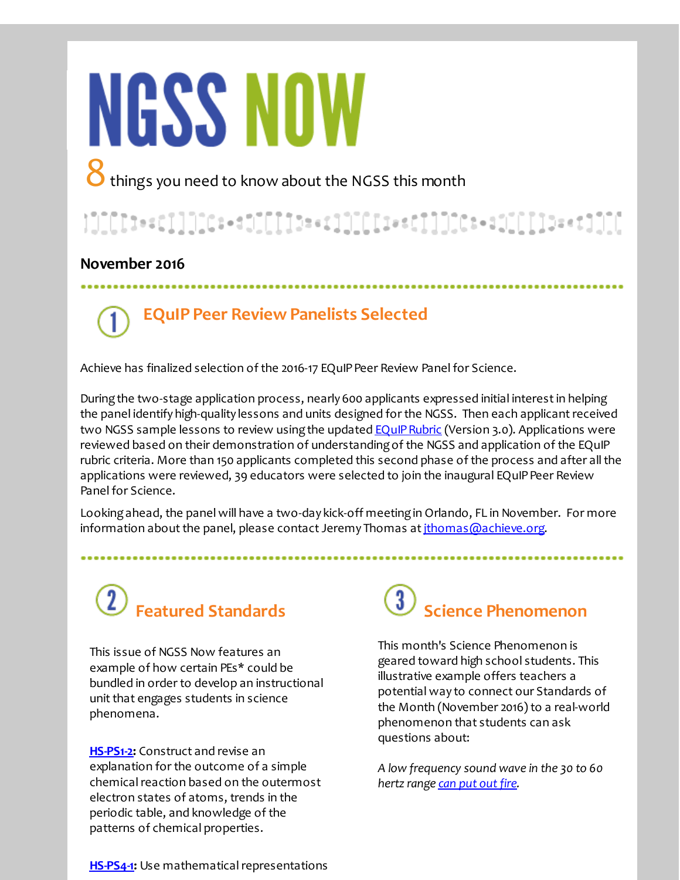# **NGSS NOW**

8things you need to know about the NGSS this month

### {]][[[t==c]]]][c==t][[[[t==t]]][[[t==c]]]][c==t1[[[]]>=+t]][[

#### **November 2016**

**EQuIP Peer Review Panelists Selected**

Achieve has finalized selection of the 2016-17 EQuIP Peer Review Panel for Science.

During the two-stage application process, nearly 600 applicants expressed initial interest in helping the panel identify high-quality lessons and units designed for the NGSS. Then each applicant received two NGSS sample lessons to review using the updated **EQuIP Rubric** (Version 3.0). Applications were reviewed based on their demonstration of understandingof the NGSS and application of the EQuIP rubric criteria. More than 150 applicants completed this second phase of the process and after all the applications were reviewed, 39 educators were selected to join the inaugural EQuIP Peer Review Panel for Science.

Lookingahead, the panel will have a two-day kick-off meetingin Orlando, FL in November. For more information about the panel, please contact Jeremy Thomas at *[jthomas@achieve.org](mailto:jthomas@achieve.org)*.



This issue of NGSS Now features an example of how certain PEs\* could be bundled in order to develop an instructional unit that engages students in science phenomena.

**[HS-PS1-2](http://r20.rs6.net/tn.jsp?f=001riqFW37GesbX4o9zM3FMck3DXQ6yTCZEODvY13XuL2Uz04GYmKMloGHRhYtwKZWvTwGUPtaH1nMfBRgJVG2AOp_Gf40x7wwdNJtCj6tBuTT3YUZEyK9wtkjZkXIBmqMO5teUunpI2CxvdnrCJfZz28pyEokzJ_WmHTAv2SMqtuxMjh1RWOZBj_N2hRe2_-bAIm9T7cQMK9zK1apsFUAqtqJimxfzcfT61cYLm_5_HFmtvaKTm_hExusymJnkQ502&c=&ch=):** Construct and revise an explanation for the outcome of a simple chemical reaction based on the outermost electron states of atoms, trends in the periodic table, and knowledge of the patterns of chemical properties.

## **Science Phenomenon**

This month's Science Phenomenon is geared toward high school students. This illustrative example offers teachers a potential way to connect our Standards of the Month (November 2016) to a real-world phenomenon that students can ask questions about:

*A low frequency sound wave in the 30 to 60 hertz range can put out fire.* 

**[HS-PS4-1](http://r20.rs6.net/tn.jsp?f=001riqFW37GesbX4o9zM3FMck3DXQ6yTCZEODvY13XuL2Uz04GYmKMloLK6Ta3J8_WVBuKmDwZem1fkm4BjpE488J1VKdn9knntBJbatgN8v1zIr7lIwcoyPk1_fMFhcFPQVpS2mHifc_ZCrGJKn9pZO57xmnzWN2U7WTYtfDFClE-R6iTgOZhrLV9EtPUJY68FZsbUpPPbEki4BFwweFVTo2kqrGrKgYIpOWbV1vnLRuAE-4nC2yoQEEM86k9h8M0ySi7sI8QEv8f67mX9UxiMuhGg0ImdLDYy&c=&ch=):** Use mathematical representations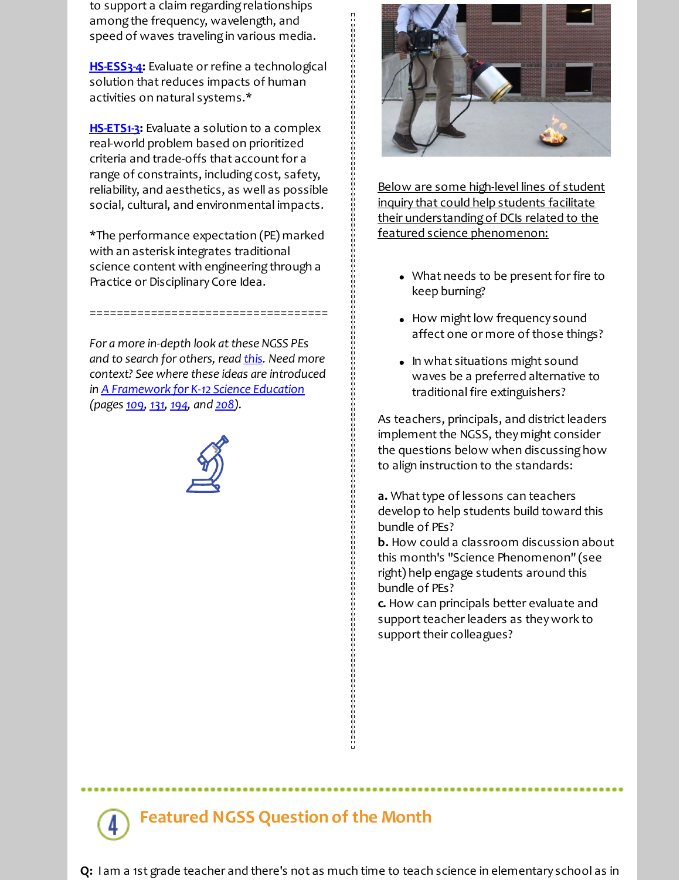to support a claim regarding relationships amongthe frequency, wavelength, and speed of waves traveling in various media.

**[HS-ESS3-4](http://r20.rs6.net/tn.jsp?f=001riqFW37GesbX4o9zM3FMck3DXQ6yTCZEODvY13XuL2Uz04GYmKMloLK6Ta3J8_WVRGoHFgNnbO0LmnjSFg_BGue1JRn2XezzSW5b6DUMYyUuAy7RFEoVYxYvXqXXjlQ7CYb_4li_a5AR6na09Ggd7upgoivrJ5cE4ZvafxpOyF5mi270GZkwl69_ttpwH1_JDNNKlqC-Bu_sJRQKKz5GEtu5QZbDDNp5GIQwKObc6yg=&c=&ch=):** Evaluate or refine a technological solution that reduces impacts of human activities on natural systems.\*

**[HS-ETS1-3:](http://r20.rs6.net/tn.jsp?f=001riqFW37GesbX4o9zM3FMck3DXQ6yTCZEODvY13XuL2Uz04GYmKMloPfVpZKwdiMRGRSeaT0y4GLVlyGdZL8LE8qUU_YoQRQrC5JUKxKnwTsfzATpv1aSB1F_qOVs9ytq0-CUKzi4hm741x0rWWENLho12EaL8vVm3UsSr42UL-Kce9XUXQ2Eei-vcC0Q2LbRIi1jxPiAs_kyJKhOtNWZuGV1W7c-UVXk&c=&ch=)** Evaluate a solution to a complex real-world problem based on prioritized criteria and trade-offs that account for a range of constraints, including cost, safety, reliability, and aesthetics, as well as possible social, cultural, and environmental impacts.

\*The performance expectation (PE) marked with an asterisk integrates traditional science content with engineering through a Practice or Disciplinary Core Idea.

*For a more in-depth look atthese NGSS PEs and to search for others, read [this](http://r20.rs6.net/tn.jsp?f=001riqFW37GesbX4o9zM3FMck3DXQ6yTCZEODvY13XuL2Uz04GYmKMloO6hlvBzsfaS0kSLDcjr_TEbDtvkt4pTiRCboM7gJsFIsQ8Dvmxg6tfvzbYKRtgtMF3pqFn-QBB83NGxpJfPDdgpAcGbdAfcGYmlYtjhH16xMk5zw6LzoJtHg4OaDUwwvTQK7O5txkRk251ERdJTuwo=&c=&ch=). Need more context? See where these ideas are introduced in A [Framework](http://r20.rs6.net/tn.jsp?f=001riqFW37GesbX4o9zM3FMck3DXQ6yTCZEODvY13XuL2Uz04GYmKMloDvZwxa5TpfJhS2t9tilXQ29fphCc6diBrklar5nz0tQghrS2pYXclpKmB2cfdy2Yy_rCm2XBn05iqRDmaWyVtWUPkfRdI3dW_UkcL7FY7DXNoywqu7FZYXDxNcJ7UyvyR3bgsSl-zP7DyoQUqSW9Csuhsn0zFKvxA==&c=&ch=) for K-12 Science Education (pages [109](http://r20.rs6.net/tn.jsp?f=001riqFW37GesbX4o9zM3FMck3DXQ6yTCZEODvY13XuL2Uz04GYmKMloLK6Ta3J8_WVismmqUwaSfZowwOlvM3OU6hz-kR23SNbm9Wo0L6fZ9-Djszzi-1ECF3tCDd8YDEUG_wLfMkqJRljpDSROe_wy62ZBGlYzOz6-U3hOmdBoMpGGXxhjbTdH79Q_sTsfa442WEtRLEBBoj3KCp4hj5Lqw==&c=&ch=), [131](http://r20.rs6.net/tn.jsp?f=001riqFW37GesbX4o9zM3FMck3DXQ6yTCZEODvY13XuL2Uz04GYmKMloLK6Ta3J8_WVXUSHyTj2PKUhbHlEQUYjprYcfcMuChyHt9yT2sXumpN_D6zk1wqiyxXU8aG9GxKXO8Dv4hrGe7n2qacKtapDMKTnERkrX2wiv5MLqR2AmSl7V3q52tFpkChnuSPFEIwzwINoXnMWWb6B8r3DL8_Jgg==&c=&ch=), [194](http://r20.rs6.net/tn.jsp?f=001riqFW37GesbX4o9zM3FMck3DXQ6yTCZEODvY13XuL2Uz04GYmKMloLK6Ta3J8_WVZB1kjb9G8lNev7VrwCvQCHEQzt5klkNHt_o7jX1PW5VywIY9yQqg59CLhOsWampm7vm4a11C843V8dLNPNhXwl3V2kO2lEpzlS235xFXrVBrFzbVyFb1WX8enWDGNnvCtHFN_wotngY8leTSHDRwpw==&c=&ch=), and [208](http://r20.rs6.net/tn.jsp?f=001riqFW37GesbX4o9zM3FMck3DXQ6yTCZEODvY13XuL2Uz04GYmKMloLK6Ta3J8_WVTWMxuPCjEaz5qsh1syGDa7CJQ2H9crRKAfeFK0ovIgDRwKc2e0CUkHODArNYmqZ0ROuwH9sOvrShRokPwWq-NiB32ontYUu8AfXfl-6EfyjiIsiNapNbBfKitxx3Y17uDc_bQVbevwLPZ75dnyUOQg==&c=&ch=)).*

===================================





Below are some high-level lines of student inquiry that could help students facilitate their understandingof DCIs related to the featured science phenomenon:

- What needs to be present for fire to keep burning?
- How might low frequency sound affect one or more of those things?
- In what situations might sound waves be a preferred alternative to traditional fire extinguishers?

As teachers, principals, and district leaders implement the NGSS, they might consider the questions below when discussinghow to align instruction to the standards:

**a.** What type of lessons can teachers develop to help students build toward this bundle of PEs?

**b.** How could a classroom discussion about this month's "Science Phenomenon" (see right) help engage students around this bundle of PEs?

**c.** How can principals better evaluate and support teacher leaders as they work to support their colleagues?

#### **Featured NGSS Question of the Month**

**Q:** I am a 1st grade teacher and there's not as much time to teach science in elementary school as in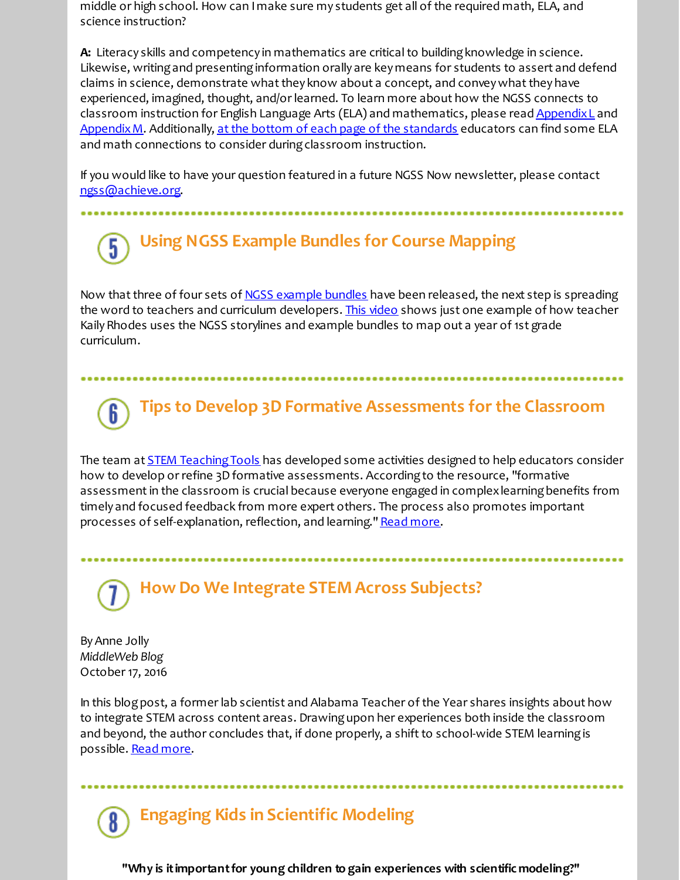middle or high school. How can Imake sure my students get all of the required math, ELA, and science instruction?

A: Literacy skills and competency in mathematics are critical to building knowledge in science. Likewise, writingand presentinginformation orally are key means for students to assert and defend claims in science, demonstrate what they know about a concept, and convey what they have experienced, imagined, thought, and/or learned. To learn more about how the NGSS connects to classroom instruction for English Language Arts (ELA) and mathematics, please read [AppendixL](http://r20.rs6.net/tn.jsp?f=001riqFW37GesbX4o9zM3FMck3DXQ6yTCZEODvY13XuL2Uz04GYmKMloLK6Ta3J8_WV_tHLKzzi4sqjXm6C8bk_EAS3-7uId_6XOjlpki4d1cV21IOVxlTPRNfWhwL2feDp2vGFvtabv9e-GN6j7l1WQ6Co3e30MjSXT0h4GM_qjV1OqV_RazSciiSnFe08yMC43Z8mTrK5slPkRBhmwp44QdUAiL6EgGxQhbXt1qi46urgEr-jwO8DNzLRHsjmh14g5Q32jwjVjNLxFtfT9a_Apg==&c=&ch=) and Appendix M. Additionally, at the bottom of each page of the [standards](http://r20.rs6.net/tn.jsp?f=001riqFW37GesbX4o9zM3FMck3DXQ6yTCZEODvY13XuL2Uz04GYmKMloO6hlvBzsfaS0kSLDcjr_TEbDtvkt4pTiRCboM7gJsFIsQ8Dvmxg6tfvzbYKRtgtMF3pqFn-QBB83NGxpJfPDdgpAcGbdAfcGYmlYtjhH16xMk5zw6LzoJtHg4OaDUwwvTQK7O5txkRk251ERdJTuwo=&c=&ch=) educators can find some ELA and math connections to consider during classroom instruction.

If you would like to have your question featured in a future NGSS Now newsletter, please contact [ngss@achieve.org](mailto:ngss@achieve.org).

--------------------------------------

# **Using NGSS Example Bundles for Course Mapping**

Now that three of four sets of NGSS [example](http://r20.rs6.net/tn.jsp?f=001riqFW37GesbX4o9zM3FMck3DXQ6yTCZEODvY13XuL2Uz04GYmKMloBN7wdBfOqKJt6ucppU4c51hxRUOFrBl4MH8n0ysorrFqJZmRB-axc0ZoDKLCZfL_AeNapEdY2-8doXzVM-67L5aap95tMy04f6It2bV5TbO2kYewqnpVrInxxWnHEJAJ5qLHwh3nlpy__AzkH9nkNd4U_t5VS3keQ==&c=&ch=) bundles have been released, the next step is spreading the word to teachers and curriculum developers. This [video](http://r20.rs6.net/tn.jsp?f=001riqFW37GesbX4o9zM3FMck3DXQ6yTCZEODvY13XuL2Uz04GYmKMloMbYqmlTKvghJXsvFBCRo1ruitT7dvgLDZPFiCULigH86XBJfDjPsoNzEX7FulPnCJUMLlR--URidG7ta6aI4uo5C1KHLTYWThxgNaUYPr-LjFOBiy6EGnP64Pfwj_39YQZmg8d6DZ7g2cZEA-BsUvc=&c=&ch=) shows just one example of how teacher Kaily Rhodes uses the NGSS storylines and example bundles to map out a year of 1st grade curriculum.

#### **Tips to Develop 3D Formative Assessments forthe Classroom** 6

The team at **STEM Teaching Tools** has developed some activities designed to help educators consider how to develop or refine 3D formative assessments. According to the resource, "formative assessment in the classroom is crucial because everyone engaged in complex learning benefits from timely and focused feedback from more expert others. The process also promotes important processes of self-explanation, reflection, and learning." Read [more](http://r20.rs6.net/tn.jsp?f=001riqFW37GesbX4o9zM3FMck3DXQ6yTCZEODvY13XuL2Uz04GYmKMloLK6Ta3J8_WVnNpSrnH_t7sNojTL_s_KPwxM3ElH3RFD6En4Fdh_rUGMUTyHQsSC6kqPOxwdHgWp4JAS9BN7lIdl6RiFMMeksqaq466LUJ5d355oOrReDZWOvOIvhZyJkzF6IgzBg_3CaO3xy0w2mPGLwu8j9Eb5ZFpsjOyRQVS9hoxsd8XMC7ENsy7lqK_Vzjq4x5hjfaMcYWhAgnPIjf2SL-nYRWBZ68yFCtCjmv5uDMyLHpLVFfk=&c=&ch=).

## **How Do We Integrate STEM Across Subjects?**

ByAnne Jolly *MiddleWeb Blog* October 17, 2016

In this blogpost, a former lab scientist and Alabama Teacher of the Year shares insights about how to integrate STEM across content areas. Drawingupon her experiences both inside the classroom and beyond, the author concludes that, if done properly, a shift to school-wide STEM learning is possible. Read [more](http://r20.rs6.net/tn.jsp?f=001riqFW37GesbX4o9zM3FMck3DXQ6yTCZEODvY13XuL2Uz04GYmKMloMbYqmlTKvghaf9bDqRrjW-kquOZe6OzHND-JJLFvsZInPxOgswwuEzjC-FoRAkLL0zm0LKGyjlrHJcA96uuDIxIojR-bQNRHxejTUnN6--nToINg26zlmhRvcSnFRIc4BF-O7pdKmv2h2BzBNCUp3-uvDu7rS7WSUG_dKwmpQowJMex817aRT2KJpcWxRgAJA==&c=&ch=).

**Engaging Kids in Scientific Modeling**

**"Why is itimportantfor young children to gain experiences with scientific modeling?"**